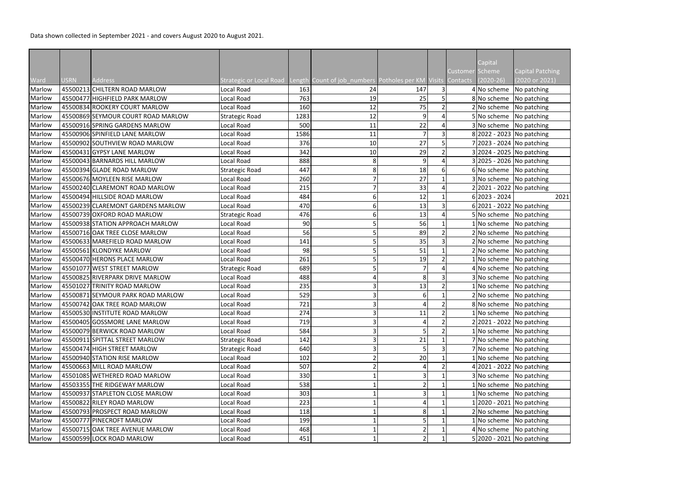Data shown collected in September 2021 - and covers August 2020 to August 2021.

|        |             |                                    |                                                                                     |      |                |     |                |                        | Capital         |                                           |
|--------|-------------|------------------------------------|-------------------------------------------------------------------------------------|------|----------------|-----|----------------|------------------------|-----------------|-------------------------------------------|
| Ward   | <b>USRN</b> | <b>Address</b>                     | Strategic or Local Road Length Count of job_numbers Potholes per KM Visits Contacts |      |                |     |                | <b>Customer Scheme</b> | $(2020 - 26)$   | <b>Capital Patching</b><br>(2020 or 2021) |
| Marlow |             | 45500213 CHILTERN ROAD MARLOW      | Local Road                                                                          | 163  | 24             | 147 | 3 <sup>1</sup> |                        |                 | 4 No scheme No patching                   |
| Marlow |             | 45500477 HIGHFIELD PARK MARLOW     | Local Road                                                                          | 763  | 19             | 25  |                |                        |                 | 8 No scheme No patching                   |
| Marlow |             | 45500834 ROOKERY COURT MARLOW      | Local Road                                                                          | 160  | 12             | 75  | $\overline{2}$ |                        |                 | 2 No scheme No patching                   |
| Marlow |             | 45500869 SEYMOUR COURT ROAD MARLOW | Strategic Road                                                                      | 1283 | 12             | 9   | 4              |                        |                 | 5 No scheme No patching                   |
| Marlow |             | 45500916 SPRING GARDENS MARLOW     | Local Road                                                                          | 500  | 11             | 22  | 4              |                        |                 | 3 No scheme No patching                   |
| Marlow |             | 45500906 SPINFIELD LANE MARLOW     | Local Road                                                                          | 1586 | 11             |     | 3              |                        |                 | 8 2022 - 2023 No patching                 |
| Marlow |             | 45500902 SOUTHVIEW ROAD MARLOW     | Local Road                                                                          | 376  | 10             | 27  | 5              |                        |                 | 7 2023 - 2024 No patching                 |
| Marlow |             | 45500431 GYPSY LANE MARLOW         | Local Road                                                                          | 342  | 10             | 29  | $\overline{2}$ |                        |                 | 3 2024 - 2025 No patching                 |
| Marlow |             | 45500043 BARNARDS HILL MARLOW      | Local Road                                                                          | 888  | 8              | 9   | 4              |                        |                 | 3 2025 - 2026 No patching                 |
| Marlow |             | 45500394 GLADE ROAD MARLOW         | Strategic Road                                                                      | 447  | 8              | 18  | 6              |                        |                 | $6$ No scheme No patching                 |
| Marlow |             | 45500676 MOYLEEN RISE MARLOW       | Local Road                                                                          | 260  |                | 27  |                |                        |                 | 3 No scheme No patching                   |
| Marlow |             | 45500240 CLAREMONT ROAD MARLOW     | Local Road                                                                          | 215  |                | 33  | Δ              |                        |                 | 2 2021 - 2022 No patching                 |
| Marlow |             | 45500494 HILLSIDE ROAD MARLOW      | Local Road                                                                          | 484  | 6              | 12  |                |                        | $6 2023 - 2024$ | 2021                                      |
| Marlow |             | 45500239 CLAREMONT GARDENS MARLOW  | <b>Local Road</b>                                                                   | 470  | 6              | 13  | 3              |                        |                 | 6 2021 - 2022 No patching                 |
| Marlow |             | 45500739 OXFORD ROAD MARLOW        | Strategic Road                                                                      | 476  | 6              | 13  | Δ              |                        |                 | 5 No scheme No patching                   |
| Marlow |             | 45500938 STATION APPROACH MARLOW   | Local Road                                                                          | 90   |                | 56  |                |                        |                 | $1$ No scheme No patching                 |
| Marlow |             | 45500716 OAK TREE CLOSE MARLOW     | Local Road                                                                          | 56   |                | 89  |                |                        |                 | 2 No scheme No patching                   |
| Marlow |             | 45500633 MAREFIELD ROAD MARLOW     | Local Road                                                                          | 141  |                | 35  | 3              |                        |                 | 2 No scheme No patching                   |
| Marlow |             | 45500561 KLONDYKE MARLOW           | Local Road                                                                          | 98   |                | 51  |                |                        |                 | 2 No scheme No patching                   |
| Marlow |             | 45500470 HERONS PLACE MARLOW       | Local Road                                                                          | 261  |                | 19  | $\overline{2}$ |                        |                 | $1 $ No scheme   No patching              |
| Marlow |             | 45501077 WEST STREET MARLOW        | <b>Strategic Road</b>                                                               | 689  |                |     | 4              |                        |                 | 4 No scheme No patching                   |
| Marlow |             | 45500825 RIVERPARK DRIVE MARLOW    | Local Road                                                                          | 488  |                | 8   |                |                        |                 | 3 No scheme No patching                   |
| Marlow |             | 45501027 TRINITY ROAD MARLOW       | Local Road                                                                          | 235  | 3              | 13  | $\overline{2}$ |                        |                 | 1 No scheme No patching                   |
| Marlow |             | 45500871 SEYMOUR PARK ROAD MARLOW  | Local Road                                                                          | 529  |                |     |                |                        |                 | 2 No scheme No patching                   |
| Marlow |             | 45500742 OAK TREE ROAD MARLOW      | Local Road                                                                          | 721  | 3              |     | $\mathfrak{D}$ |                        |                 | 8 No scheme   No patching                 |
| Marlow |             | 45500530 INSTITUTE ROAD MARLOW     | Local Road                                                                          | 274  | 3              | 11  | $\overline{2}$ |                        |                 | 1 No scheme No patching                   |
| Marlow |             | 45500405 GOSSMORE LANE MARLOW      | Local Road                                                                          | 719  | 3              |     |                |                        |                 | 2 2021 - 2022   No patching               |
| Marlow |             | 45500079 BERWICK ROAD MARLOW       | Local Road                                                                          | 584  | 3              |     |                |                        |                 | 1 No scheme No patching                   |
| Marlow |             | 45500911 SPITTAL STREET MARLOW     | <b>Strategic Road</b>                                                               | 142  | 3              | 21  |                |                        |                 | 7 No scheme No patching                   |
| Marlow |             | 45500474 HIGH STREET MARLOW        | Strategic Road                                                                      | 640  | 3              |     | 3              |                        |                 | 7 No scheme No patching                   |
| Marlow |             | 45500940 STATION RISE MARLOW       | Local Road                                                                          | 102  | $\overline{2}$ | 20  |                |                        |                 | 1 No scheme No patching                   |
| Marlow |             | 45500663 MILL ROAD MARLOW          | Local Road                                                                          | 507  |                |     |                |                        |                 | 4 2021 - 2022 No patching                 |
| Marlow |             | 45501085 WETHERED ROAD MARLOW      | Local Road                                                                          | 330  |                |     |                |                        |                 | 3 No scheme No patching                   |
| Marlow |             | 45503355 THE RIDGEWAY MARLOW       | Local Road                                                                          | 538  |                |     |                |                        |                 | $1 $ No scheme   No patching              |
| Marlow |             | 45500937 STAPLETON CLOSE MARLOW    | Local Road                                                                          | 303  |                |     |                |                        |                 | $1 $ No scheme   No patching              |
| Marlow |             | 45500822 RILEY ROAD MARLOW         | Local Road                                                                          | 223  |                |     |                |                        |                 | $1 2020 - 2021 $ No patching              |
| Marlow |             | 45500793 PROSPECT ROAD MARLOW      | Local Road                                                                          | 118  |                |     |                |                        |                 | 2 No scheme No patching                   |
| Marlow |             | 45500777 PINECROFT MARLOW          | Local Road                                                                          | 199  |                |     |                |                        |                 | 1 No scheme No patching                   |
| Marlow |             | 45500715 OAK TREE AVENUE MARLOW    | Local Road                                                                          | 468  |                |     |                |                        |                 | $4$ No scheme No patching                 |
| Marlow |             | 45500599 LOCK ROAD MARLOW          | Local Road                                                                          | 451  |                |     |                |                        |                 | 5 2020 - 2021   No patching               |